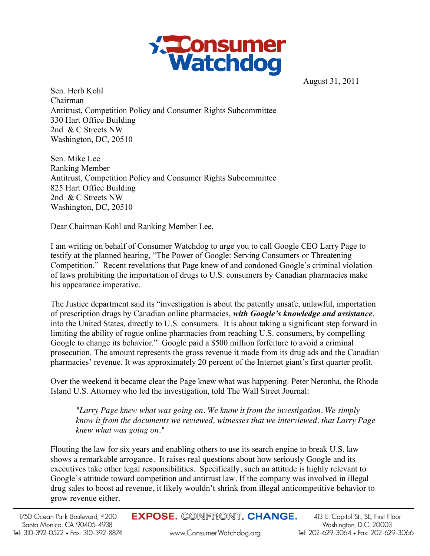

August 31, 2011

Sen. Herb Kohl Chairman Antitrust, Competition Policy and Consumer Rights Subcommittee 330 Hart Office Building 2nd & C Streets NW Washington, DC, 20510

Sen. Mike Lee Ranking Member Antitrust, Competition Policy and Consumer Rights Subcommittee 825 Hart Office Building 2nd & C Streets NW Washington, DC, 20510

Dear Chairman Kohl and Ranking Member Lee,

I am writing on behalf of Consumer Watchdog to urge you to call Google CEO Larry Page to testify at the planned hearing, "The Power of Google: Serving Consumers or Threatening Competition." Recent revelations that Page knew of and condoned Google's criminal violation of laws prohibiting the importation of drugs to U.S. consumers by Canadian pharmacies make his appearance imperative.

The Justice department said its "investigation is about the patently unsafe, unlawful, importation of prescription drugs by Canadian online pharmacies, *with Google's knowledge and assistance*, into the United States, directly to U.S. consumers. It is about taking a significant step forward in limiting the ability of rogue online pharmacies from reaching U.S. consumers, by compelling Google to change its behavior." Google paid a \$500 million forfeiture to avoid a criminal prosecution. The amount represents the gross revenue it made from its drug ads and the Canadian pharmacies' revenue. It was approximately 20 percent of the Internet giant's first quarter profit.

Over the weekend it became clear the Page knew what was happening. Peter Neronha, the Rhode Island U.S. Attorney who led the investigation, told The Wall Street Journal:

*"Larry Page knew what was going on. We know it from the investigation. We simply know it from the documents we reviewed, witnesses that we interviewed, that Larry Page knew what was going on."* 

Flouting the law for six years and enabling others to use its search engine to break U.S. law shows a remarkable arrogance. It raises real questions about how seriously Google and its executives take other legal responsibilities. Specifically, such an attitude is highly relevant to Google's attitude toward competition and antitrust law. If the company was involved in illegal drug sales to boost ad revenue, it likely wouldn't shrink from illegal anticompetitive behavior to grow revenue either.

**EXPOSE. CONFRONT. CHANGE.** 

www.ConsumerWatchdog.org